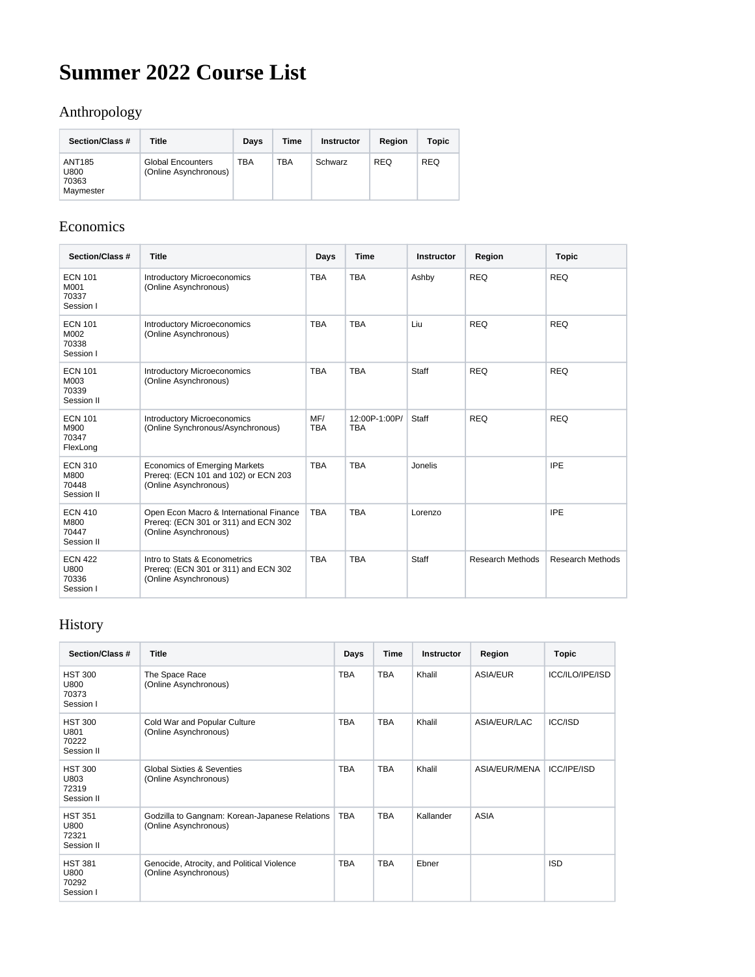# **Summer 2022 Course List**

## Anthropology

| Section/Class #                             | Title                                             | Davs       | Time       | <b>Instructor</b> | Region     | <b>Topic</b> |
|---------------------------------------------|---------------------------------------------------|------------|------------|-------------------|------------|--------------|
| <b>ANT185</b><br>U800<br>70363<br>Maymester | <b>Global Encounters</b><br>(Online Asynchronous) | <b>TBA</b> | <b>TBA</b> | Schwarz           | <b>REQ</b> | <b>REQ</b>   |

#### Economics

| Section/Class #                               | <b>Title</b>                                                                                             | Days              | <b>Time</b>                 | <b>Instructor</b> | Region                  | <b>Topic</b>            |
|-----------------------------------------------|----------------------------------------------------------------------------------------------------------|-------------------|-----------------------------|-------------------|-------------------------|-------------------------|
| <b>ECN 101</b><br>M001<br>70337<br>Session I  | <b>Introductory Microeconomics</b><br>(Online Asynchronous)                                              | <b>TBA</b>        | <b>TBA</b>                  | Ashby             | <b>REQ</b>              | <b>REQ</b>              |
| <b>ECN 101</b><br>M002<br>70338<br>Session I  | <b>Introductory Microeconomics</b><br>(Online Asynchronous)                                              | <b>TBA</b>        | <b>TBA</b>                  | Liu               | <b>REQ</b>              | <b>REQ</b>              |
| <b>ECN 101</b><br>M003<br>70339<br>Session II | <b>Introductory Microeconomics</b><br>(Online Asynchronous)                                              | <b>TBA</b>        | <b>TBA</b>                  | Staff             | <b>REQ</b>              | <b>REQ</b>              |
| <b>ECN 101</b><br>M900<br>70347<br>FlexLong   | <b>Introductory Microeconomics</b><br>(Online Synchronous/Asynchronous)                                  | MF/<br><b>TBA</b> | 12:00P-1:00P/<br><b>TBA</b> | Staff             | <b>REQ</b>              | <b>REQ</b>              |
| <b>ECN 310</b><br>M800<br>70448<br>Session II | <b>Economics of Emerging Markets</b><br>Prereq: (ECN 101 and 102) or ECN 203<br>(Online Asynchronous)    | <b>TBA</b>        | <b>TBA</b>                  | Jonelis           |                         | <b>IPE</b>              |
| <b>ECN 410</b><br>M800<br>70447<br>Session II | Open Econ Macro & International Finance<br>Prereg: (ECN 301 or 311) and ECN 302<br>(Online Asynchronous) | <b>TBA</b>        | <b>TBA</b>                  | Lorenzo           |                         | <b>IPE</b>              |
| <b>ECN 422</b><br>U800<br>70336<br>Session I  | Intro to Stats & Econometrics<br>Prereq: (ECN 301 or 311) and ECN 302<br>(Online Asynchronous)           | <b>TBA</b>        | <b>TBA</b>                  | Staff             | <b>Research Methods</b> | <b>Research Methods</b> |

## History

| Section/Class #                               | <b>Title</b>                                                            | Days       | <b>Time</b> | <b>Instructor</b> | Region          | <b>Topic</b>       |
|-----------------------------------------------|-------------------------------------------------------------------------|------------|-------------|-------------------|-----------------|--------------------|
| <b>HST 300</b><br>U800<br>70373<br>Session I  | The Space Race<br>(Online Asynchronous)                                 | <b>TBA</b> | <b>TBA</b>  | Khalil            | <b>ASIA/EUR</b> | ICC/ILO/IPE/ISD    |
| <b>HST 300</b><br>U801<br>70222<br>Session II | Cold War and Popular Culture<br>(Online Asynchronous)                   | <b>TBA</b> | <b>TBA</b>  | Khalil            | ASIA/EUR/LAC    | <b>ICC/ISD</b>     |
| <b>HST 300</b><br>U803<br>72319<br>Session II | <b>Global Sixties &amp; Seventies</b><br>(Online Asynchronous)          | <b>TBA</b> | <b>TBA</b>  | Khalil            | ASIA/EUR/MENA   | <b>ICC/IPE/ISD</b> |
| <b>HST 351</b><br>U800<br>72321<br>Session II | Godzilla to Gangnam: Korean-Japanese Relations<br>(Online Asynchronous) | <b>TBA</b> | <b>TBA</b>  | Kallander         | <b>ASIA</b>     |                    |
| <b>HST 381</b><br>U800<br>70292<br>Session I  | Genocide, Atrocity, and Political Violence<br>(Online Asynchronous)     | <b>TBA</b> | <b>TBA</b>  | Ebner             |                 | <b>ISD</b>         |